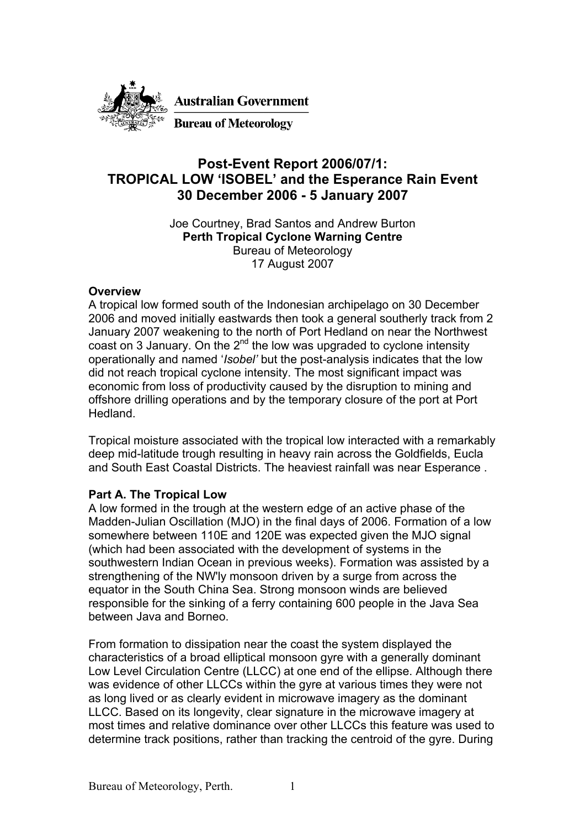

## **Post-Event Report 2006/07/1: TROPICAL LOW 'ISOBEL' and the Esperance Rain Event 30 December 2006 - 5 January 2007**

Joe Courtney, Brad Santos and Andrew Burton **Perth Tropical Cyclone Warning Centre**  Bureau of Meteorology 17 August 2007

## **Overview**

A tropical low formed south of the Indonesian archipelago on 30 December 2006 and moved initially eastwards then took a general southerly track from 2 January 2007 weakening to the north of Port Hedland on near the Northwest coast on 3 January. On the  $2^{nd}$  the low was upgraded to cyclone intensity operationally and named '*Isobel'* but the post-analysis indicates that the low did not reach tropical cyclone intensity. The most significant impact was economic from loss of productivity caused by the disruption to mining and offshore drilling operations and by the temporary closure of the port at Port Hedland.

Tropical moisture associated with the tropical low interacted with a remarkably deep mid-latitude trough resulting in heavy rain across the Goldfields, Eucla and South East Coastal Districts. The heaviest rainfall was near Esperance .

## **Part A. The Tropical Low**

A low formed in the trough at the western edge of an active phase of the Madden-Julian Oscillation (MJO) in the final days of 2006. Formation of a low somewhere between 110E and 120E was expected given the MJO signal (which had been associated with the development of systems in the southwestern Indian Ocean in previous weeks). Formation was assisted by a strengthening of the NW'ly monsoon driven by a surge from across the equator in the South China Sea. Strong monsoon winds are believed responsible for the sinking of a ferry containing 600 people in the Java Sea between Java and Borneo.

From formation to dissipation near the coast the system displayed the characteristics of a broad elliptical monsoon gyre with a generally dominant Low Level Circulation Centre (LLCC) at one end of the ellipse. Although there was evidence of other LLCCs within the gyre at various times they were not as long lived or as clearly evident in microwave imagery as the dominant LLCC. Based on its longevity, clear signature in the microwave imagery at most times and relative dominance over other LLCCs this feature was used to determine track positions, rather than tracking the centroid of the gyre. During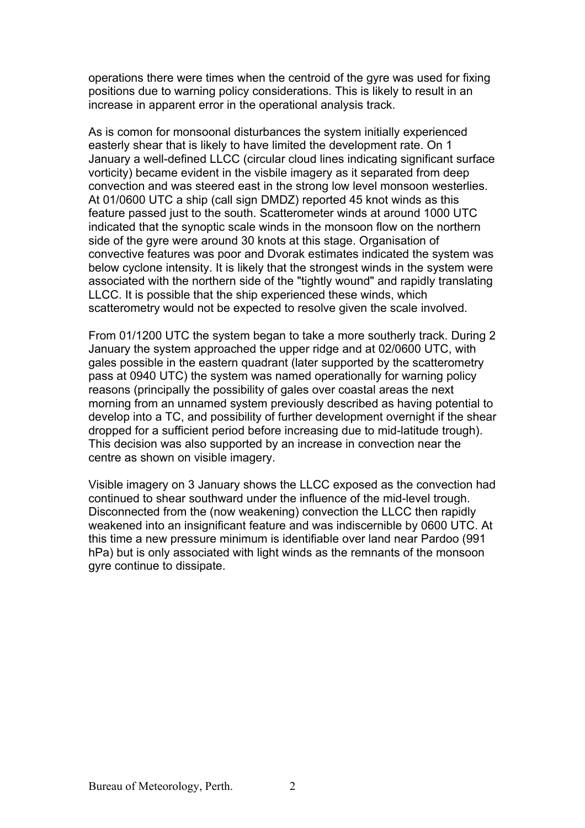operations there were times when the centroid of the gyre was used for fixing positions due to warning policy considerations. This is likely to result in an increase in apparent error in the operational analysis track.

As is comon for monsoonal disturbances the system initially experienced easterly shear that is likely to have limited the development rate. On 1 January a well-defined LLCC (circular cloud lines indicating significant surface vorticity) became evident in the visbile imagery as it separated from deep convection and was steered east in the strong low level monsoon westerlies. At 01/0600 UTC a ship (call sign DMDZ) reported 45 knot winds as this feature passed just to the south. Scatterometer winds at around 1000 UTC indicated that the synoptic scale winds in the monsoon flow on the northern side of the gyre were around 30 knots at this stage. Organisation of convective features was poor and Dvorak estimates indicated the system was below cyclone intensity. It is likely that the strongest winds in the system were associated with the northern side of the "tightly wound" and rapidly translating LLCC. It is possible that the ship experienced these winds, which scatterometry would not be expected to resolve given the scale involved.

From 01/1200 UTC the system began to take a more southerly track. During 2 January the system approached the upper ridge and at 02/0600 UTC, with gales possible in the eastern quadrant (later supported by the scatterometry pass at 0940 UTC) the system was named operationally for warning policy reasons (principally the possibility of gales over coastal areas the next morning from an unnamed system previously described as having potential to develop into a TC, and possibility of further development overnight if the shear dropped for a sufficient period before increasing due to mid-latitude trough). This decision was also supported by an increase in convection near the centre as shown on visible imagery.

Visible imagery on 3 January shows the LLCC exposed as the convection had continued to shear southward under the influence of the mid-level trough. Disconnected from the (now weakening) convection the LLCC then rapidly weakened into an insignificant feature and was indiscernible by 0600 UTC. At this time a new pressure minimum is identifiable over land near Pardoo (991 hPa) but is only associated with light winds as the remnants of the monsoon gyre continue to dissipate.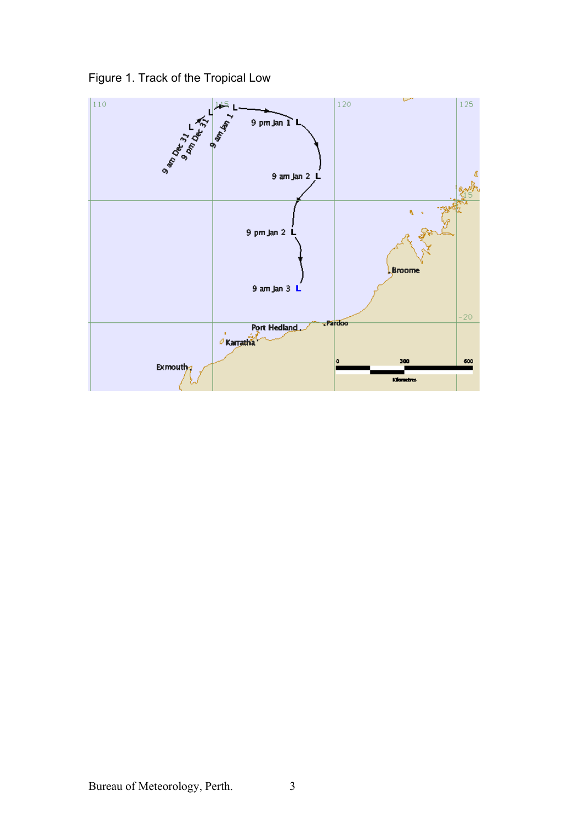

Figure 1. Track of the Tropical Low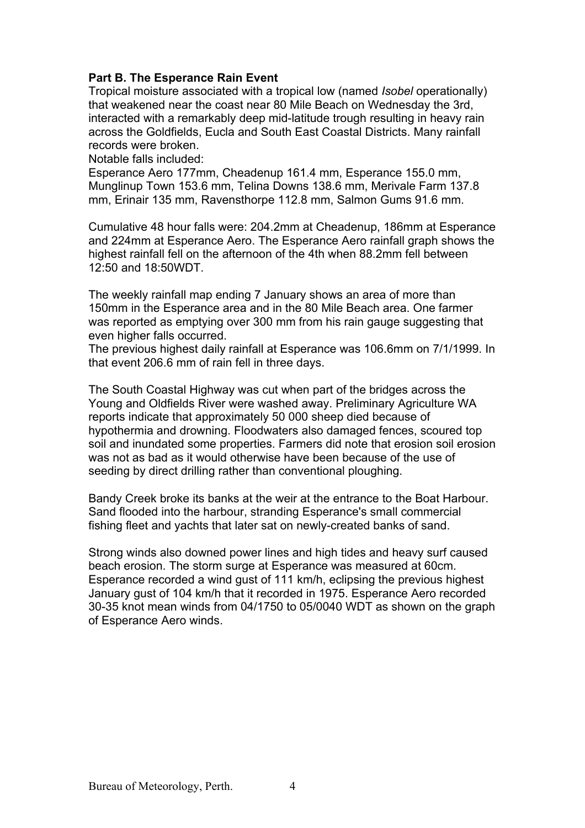## **Part B. The Esperance Rain Event**

Tropical moisture associated with a tropical low (named *Isobel* operationally) that weakened near the coast near 80 Mile Beach on Wednesday the 3rd, interacted with a remarkably deep mid-latitude trough resulting in heavy rain across the Goldfields, Eucla and South East Coastal Districts. Many rainfall records were broken.

Notable falls included:

Esperance Aero 177mm, Cheadenup 161.4 mm, Esperance 155.0 mm, Munglinup Town 153.6 mm, Telina Downs 138.6 mm, Merivale Farm 137.8 mm, Erinair 135 mm, Ravensthorpe 112.8 mm, Salmon Gums 91.6 mm.

Cumulative 48 hour falls were: 204.2mm at Cheadenup, 186mm at Esperance and 224mm at Esperance Aero. The Esperance Aero rainfall graph shows the highest rainfall fell on the afternoon of the 4th when 88.2mm fell between 12:50 and 18:50WDT.

The weekly rainfall map ending 7 January shows an area of more than 150mm in the Esperance area and in the 80 Mile Beach area. One farmer was reported as emptying over 300 mm from his rain gauge suggesting that even higher falls occurred.

The previous highest daily rainfall at Esperance was 106.6mm on 7/1/1999. In that event 206.6 mm of rain fell in three days.

The South Coastal Highway was cut when part of the bridges across the Young and Oldfields River were washed away. Preliminary Agriculture WA reports indicate that approximately 50 000 sheep died because of hypothermia and drowning. Floodwaters also damaged fences, scoured top soil and inundated some properties. Farmers did note that erosion soil erosion was not as bad as it would otherwise have been because of the use of seeding by direct drilling rather than conventional ploughing.

Bandy Creek broke its banks at the weir at the entrance to the Boat Harbour. Sand flooded into the harbour, stranding Esperance's small commercial fishing fleet and yachts that later sat on newly-created banks of sand.

Strong winds also downed power lines and high tides and heavy surf caused beach erosion. The storm surge at Esperance was measured at 60cm. Esperance recorded a wind gust of 111 km/h, eclipsing the previous highest January gust of 104 km/h that it recorded in 1975. Esperance Aero recorded 30-35 knot mean winds from 04/1750 to 05/0040 WDT as shown on the graph of Esperance Aero winds.